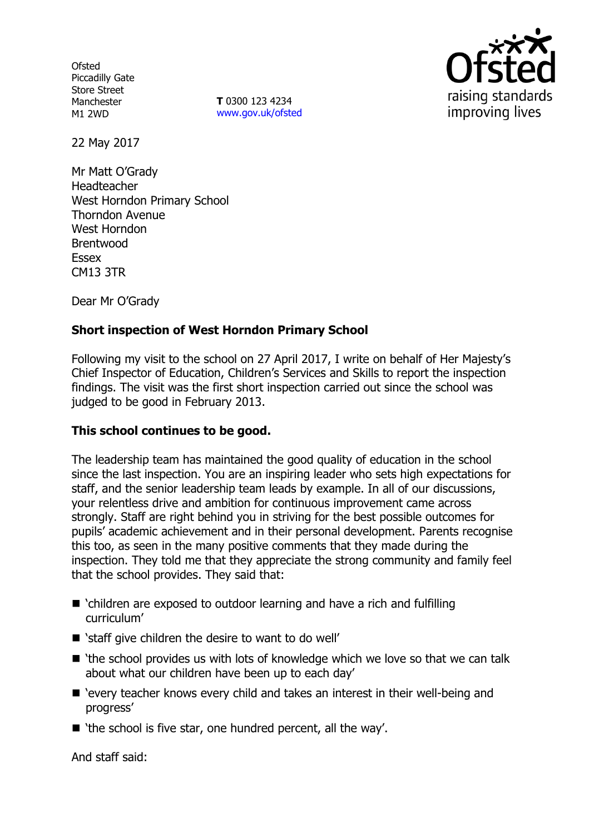**Ofsted** Piccadilly Gate Store Street Manchester M1 2WD

**T** 0300 123 4234 www.gov.uk/ofsted



22 May 2017

Mr Matt O'Grady Headteacher West Horndon Primary School Thorndon Avenue West Horndon Brentwood Essex CM13 3TR

Dear Mr O'Grady

# **Short inspection of West Horndon Primary School**

Following my visit to the school on 27 April 2017, I write on behalf of Her Majesty's Chief Inspector of Education, Children's Services and Skills to report the inspection findings. The visit was the first short inspection carried out since the school was judged to be good in February 2013.

## **This school continues to be good.**

The leadership team has maintained the good quality of education in the school since the last inspection. You are an inspiring leader who sets high expectations for staff, and the senior leadership team leads by example. In all of our discussions, your relentless drive and ambition for continuous improvement came across strongly. Staff are right behind you in striving for the best possible outcomes for pupils' academic achievement and in their personal development. Parents recognise this too, as seen in the many positive comments that they made during the inspection. They told me that they appreciate the strong community and family feel that the school provides. They said that:

- 'children are exposed to outdoor learning and have a rich and fulfilling curriculum'
- 'staff give children the desire to want to do well'
- 'the school provides us with lots of knowledge which we love so that we can talk about what our children have been up to each day'
- 'every teacher knows every child and takes an interest in their well-being and progress'
- 'the school is five star, one hundred percent, all the way'.

And staff said: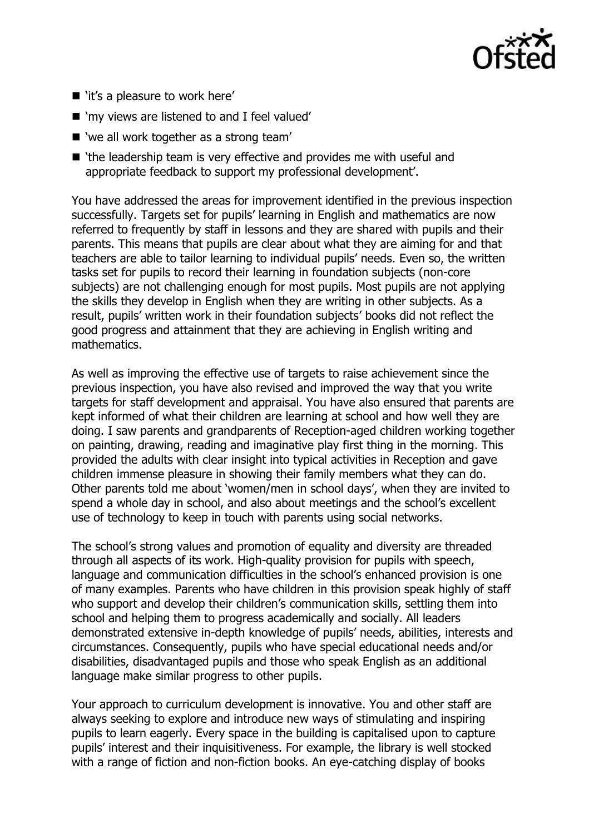

- 'it's a pleasure to work here'
- 'my views are listened to and I feel valued'
- 'we all work together as a strong team'
- 'the leadership team is very effective and provides me with useful and appropriate feedback to support my professional development'.

You have addressed the areas for improvement identified in the previous inspection successfully. Targets set for pupils' learning in English and mathematics are now referred to frequently by staff in lessons and they are shared with pupils and their parents. This means that pupils are clear about what they are aiming for and that teachers are able to tailor learning to individual pupils' needs. Even so, the written tasks set for pupils to record their learning in foundation subjects (non-core subjects) are not challenging enough for most pupils. Most pupils are not applying the skills they develop in English when they are writing in other subjects. As a result, pupils' written work in their foundation subjects' books did not reflect the good progress and attainment that they are achieving in English writing and mathematics.

As well as improving the effective use of targets to raise achievement since the previous inspection, you have also revised and improved the way that you write targets for staff development and appraisal. You have also ensured that parents are kept informed of what their children are learning at school and how well they are doing. I saw parents and grandparents of Reception-aged children working together on painting, drawing, reading and imaginative play first thing in the morning. This provided the adults with clear insight into typical activities in Reception and gave children immense pleasure in showing their family members what they can do. Other parents told me about 'women/men in school days', when they are invited to spend a whole day in school, and also about meetings and the school's excellent use of technology to keep in touch with parents using social networks.

The school's strong values and promotion of equality and diversity are threaded through all aspects of its work. High-quality provision for pupils with speech, language and communication difficulties in the school's enhanced provision is one of many examples. Parents who have children in this provision speak highly of staff who support and develop their children's communication skills, settling them into school and helping them to progress academically and socially. All leaders demonstrated extensive in-depth knowledge of pupils' needs, abilities, interests and circumstances. Consequently, pupils who have special educational needs and/or disabilities, disadvantaged pupils and those who speak English as an additional language make similar progress to other pupils.

Your approach to curriculum development is innovative. You and other staff are always seeking to explore and introduce new ways of stimulating and inspiring pupils to learn eagerly. Every space in the building is capitalised upon to capture pupils' interest and their inquisitiveness. For example, the library is well stocked with a range of fiction and non-fiction books. An eye-catching display of books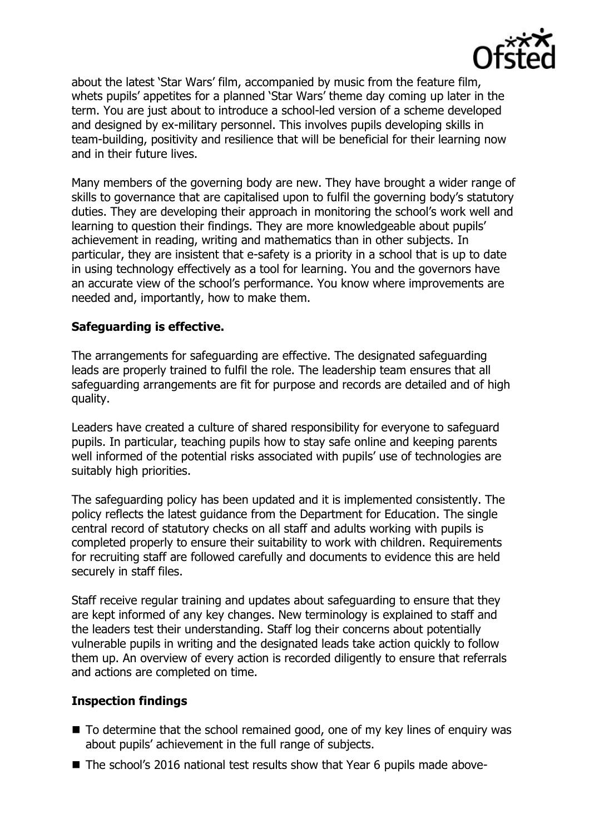

about the latest 'Star Wars' film, accompanied by music from the feature film, whets pupils' appetites for a planned 'Star Wars' theme day coming up later in the term. You are just about to introduce a school-led version of a scheme developed and designed by ex-military personnel. This involves pupils developing skills in team-building, positivity and resilience that will be beneficial for their learning now and in their future lives.

Many members of the governing body are new. They have brought a wider range of skills to governance that are capitalised upon to fulfil the governing body's statutory duties. They are developing their approach in monitoring the school's work well and learning to question their findings. They are more knowledgeable about pupils' achievement in reading, writing and mathematics than in other subjects. In particular, they are insistent that e-safety is a priority in a school that is up to date in using technology effectively as a tool for learning. You and the governors have an accurate view of the school's performance. You know where improvements are needed and, importantly, how to make them.

## **Safeguarding is effective.**

The arrangements for safeguarding are effective. The designated safeguarding leads are properly trained to fulfil the role. The leadership team ensures that all safeguarding arrangements are fit for purpose and records are detailed and of high quality.

Leaders have created a culture of shared responsibility for everyone to safeguard pupils. In particular, teaching pupils how to stay safe online and keeping parents well informed of the potential risks associated with pupils' use of technologies are suitably high priorities.

The safeguarding policy has been updated and it is implemented consistently. The policy reflects the latest guidance from the Department for Education. The single central record of statutory checks on all staff and adults working with pupils is completed properly to ensure their suitability to work with children. Requirements for recruiting staff are followed carefully and documents to evidence this are held securely in staff files.

Staff receive regular training and updates about safeguarding to ensure that they are kept informed of any key changes. New terminology is explained to staff and the leaders test their understanding. Staff log their concerns about potentially vulnerable pupils in writing and the designated leads take action quickly to follow them up. An overview of every action is recorded diligently to ensure that referrals and actions are completed on time.

## **Inspection findings**

- $\blacksquare$  To determine that the school remained good, one of my key lines of enguiry was about pupils' achievement in the full range of subjects.
- The school's 2016 national test results show that Year 6 pupils made above-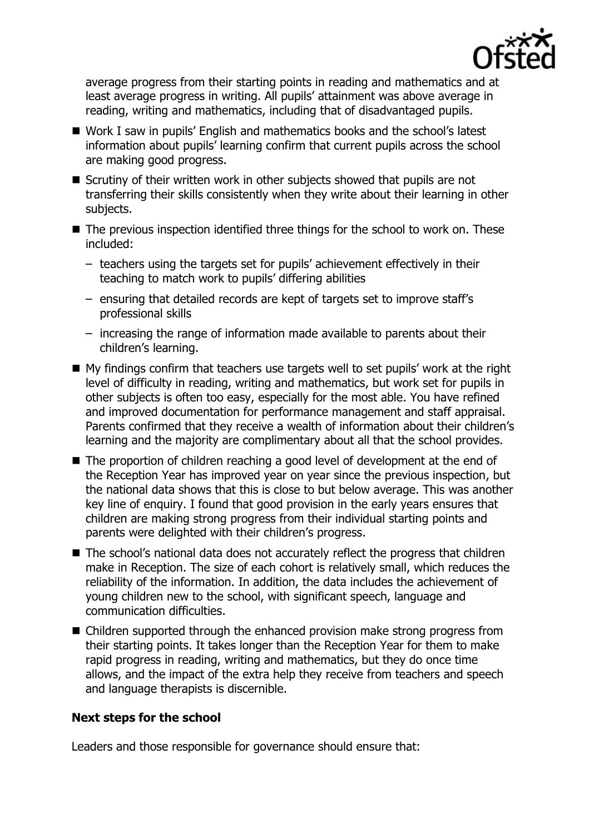

average progress from their starting points in reading and mathematics and at least average progress in writing. All pupils' attainment was above average in reading, writing and mathematics, including that of disadvantaged pupils.

- Work I saw in pupils' English and mathematics books and the school's latest information about pupils' learning confirm that current pupils across the school are making good progress.
- Scrutiny of their written work in other subjects showed that pupils are not transferring their skills consistently when they write about their learning in other subjects.
- The previous inspection identified three things for the school to work on. These included:
	- teachers using the targets set for pupils' achievement effectively in their teaching to match work to pupils' differing abilities
	- ensuring that detailed records are kept of targets set to improve staff's professional skills
	- increasing the range of information made available to parents about their children's learning.
- My findings confirm that teachers use targets well to set pupils' work at the right level of difficulty in reading, writing and mathematics, but work set for pupils in other subjects is often too easy, especially for the most able. You have refined and improved documentation for performance management and staff appraisal. Parents confirmed that they receive a wealth of information about their children's learning and the majority are complimentary about all that the school provides.
- The proportion of children reaching a good level of development at the end of the Reception Year has improved year on year since the previous inspection, but the national data shows that this is close to but below average. This was another key line of enquiry. I found that good provision in the early years ensures that children are making strong progress from their individual starting points and parents were delighted with their children's progress.
- The school's national data does not accurately reflect the progress that children make in Reception. The size of each cohort is relatively small, which reduces the reliability of the information. In addition, the data includes the achievement of young children new to the school, with significant speech, language and communication difficulties.
- Children supported through the enhanced provision make strong progress from their starting points. It takes longer than the Reception Year for them to make rapid progress in reading, writing and mathematics, but they do once time allows, and the impact of the extra help they receive from teachers and speech and language therapists is discernible.

## **Next steps for the school**

Leaders and those responsible for governance should ensure that: